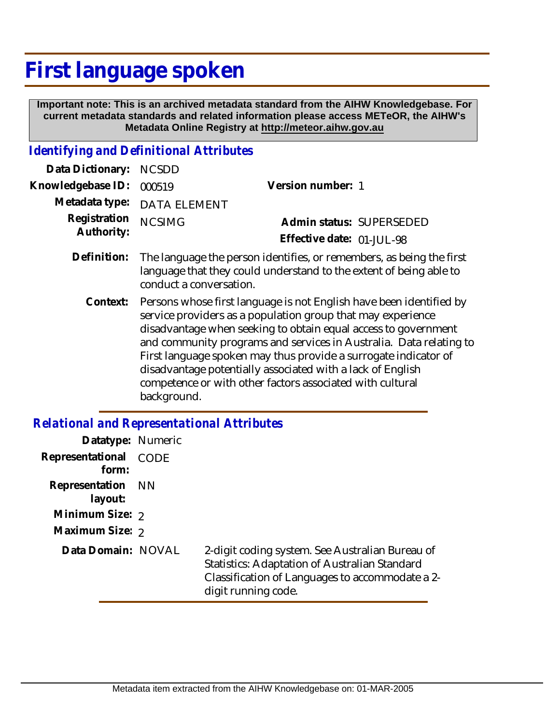## **First language spoken**

 **Important note: This is an archived metadata standard from the AIHW Knowledgebase. For current metadata standards and related information please access METeOR, the AIHW's Metadata Online Registry at http://meteor.aihw.gov.au**

## *Identifying and Definitional Attributes*

| Data Dictionary: NCSDD            |                                                                                                                                                        |                           |                          |
|-----------------------------------|--------------------------------------------------------------------------------------------------------------------------------------------------------|---------------------------|--------------------------|
| Knowledgebase ID: 000519          |                                                                                                                                                        | Version number: 1         |                          |
|                                   | Metadata type: DATA ELEMENT                                                                                                                            |                           |                          |
| Registration NCSIMG<br>Authority: |                                                                                                                                                        | Effective date: 01-JUL-98 | Admin status: SUPERSEDED |
|                                   | Definition: The language the person identifies, or remembers, as being the first<br>language that they could understand to the extent of being able to |                           |                          |

conduct a conversation.

Persons whose first language is not English have been identified by service providers as a population group that may experience disadvantage when seeking to obtain equal access to government and community programs and services in Australia. Data relating to First language spoken may thus provide a surrogate indicator of disadvantage potentially associated with a lack of English competence or with other factors associated with cultural background. **Context:**

## *Relational and Representational Attributes*

| Datatype: Numeric              |                                                                                                                                                                            |
|--------------------------------|----------------------------------------------------------------------------------------------------------------------------------------------------------------------------|
| Representational CODE<br>form: |                                                                                                                                                                            |
| Representation NN<br>layout:   |                                                                                                                                                                            |
| Minimum Size: 2                |                                                                                                                                                                            |
| Maximum Size: 2                |                                                                                                                                                                            |
| Data Domain: NOVAL             | 2-digit coding system. See Australian Bureau of<br>Statistics: Adaptation of Australian Standard<br>Classification of Languages to accommodate a 2-<br>digit running code. |